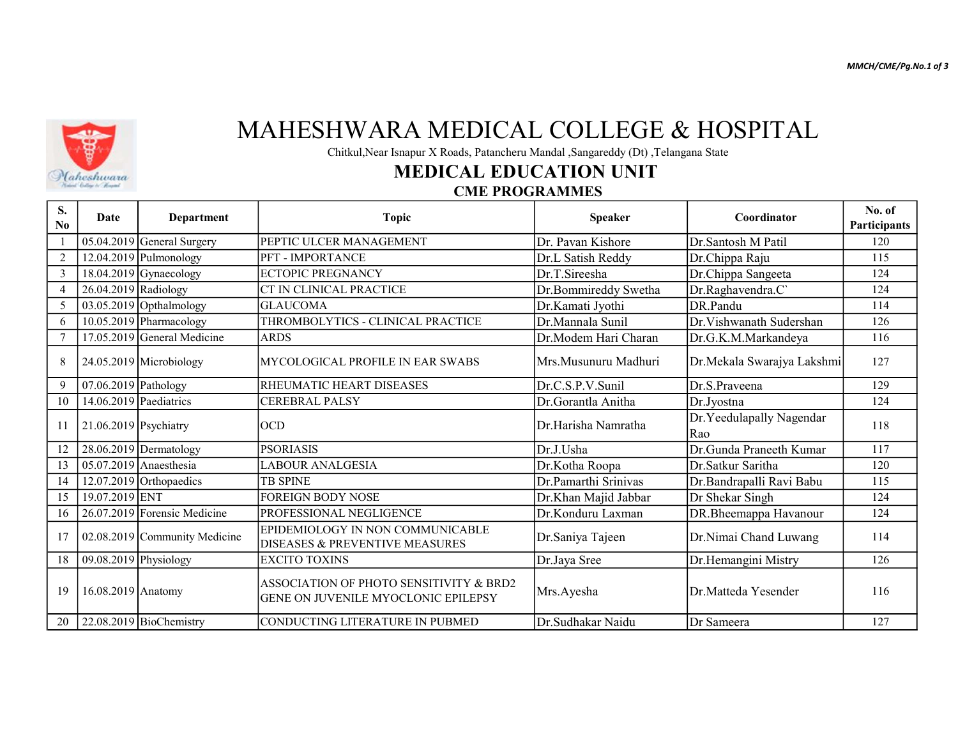MMCH/CME/Pg.No.1 of 3



## MAHESHWARA MEDICAL COLLEGE & HOSPITAL

Chitkul,Near Isnapur X Roads, Patancheru Mandal ,Sangareddy (Dt) ,Telangana State

### MEDICAL EDUCATION UNIT

#### CME PROGRAMMES

| S.<br>No       | Date                   | <b>Department</b>              | <b>Topic</b>                                                                          | <b>Speaker</b>       | Coordinator                     | No. of<br>Participants |
|----------------|------------------------|--------------------------------|---------------------------------------------------------------------------------------|----------------------|---------------------------------|------------------------|
|                |                        | 05.04.2019 General Surgery     | PEPTIC ULCER MANAGEMENT                                                               | Dr. Pavan Kishore    | Dr.Santosh M Patil              | 120                    |
| $\overline{2}$ |                        | $12.04.2019$ Pulmonology       | PFT - IMPORTANCE                                                                      | Dr.L Satish Reddy    | Dr.Chippa Raju                  | 115                    |
| $\overline{3}$ |                        | $18.04.2019$ Gynaecology       | ECTOPIC PREGNANCY                                                                     | Dr.T.Sireesha        | Dr.Chippa Sangeeta              | 124                    |
| $\overline{4}$ | 26.04.2019 Radiology   |                                | CT IN CLINICAL PRACTICE                                                               | Dr.Bommireddy Swetha | Dr.Raghavendra.C`               | 124                    |
| 5              |                        | $03.05.2019$ Opthalmology      | <b>GLAUCOMA</b>                                                                       | Dr.Kamati Jyothi     | DR.Pandu                        | 114                    |
| 6              |                        | 10.05.2019 Pharmacology        | THROMBOLYTICS - CLINICAL PRACTICE                                                     | Dr.Mannala Sunil     | Dr. Vishwanath Sudershan        | 126                    |
| $\tau$         |                        | 17.05.2019 General Medicine    | <b>ARDS</b>                                                                           | Dr.Modem Hari Charan | Dr.G.K.M.Markandeya             | 116                    |
| 8              |                        | $24.05.2019$ Microbiology      | MYCOLOGICAL PROFILE IN EAR SWABS                                                      | Mrs.Musunuru Madhuri | Dr.Mekala Swarajya Lakshmi      | 127                    |
| 9              | 07.06.2019 Pathology   |                                | <b>RHEUMATIC HEART DISEASES</b>                                                       | Dr.C.S.P.V.Sunil     | Dr.S.Praveena                   | 129                    |
| 10             | 14.06.2019 Paediatrics |                                | <b>CEREBRAL PALSY</b>                                                                 | Dr.Gorantla Anitha   | Dr.Jyostna                      | 124                    |
| 11             | 21.06.2019 Psychiatry  |                                | locd                                                                                  | Dr.Harisha Namratha  | Dr.Yeedulapally Nagendar<br>Rao | 118                    |
| 12             |                        | 28.06.2019 Dermatology         | <b>PSORIASIS</b>                                                                      | Dr.J.Usha            | Dr.Gunda Praneeth Kumar         | 117                    |
| 13             |                        | 05.07.2019 Anaesthesia         | LABOUR ANALGESIA                                                                      | Dr.Kotha Roopa       | Dr.Satkur Saritha               | 120                    |
| 14             |                        | $12.07.2019$ Orthopaedics      | ITB SPINE                                                                             | Dr.Pamarthi Srinivas | Dr.Bandrapalli Ravi Babu        | 115                    |
| 15             | 19.07.2019 ENT         |                                | <b>FOREIGN BODY NOSE</b>                                                              | Dr.Khan Majid Jabbar | Dr Shekar Singh                 | 124                    |
| 16             |                        | $26.07.2019$ Forensic Medicine | PROFESSIONAL NEGLIGENCE                                                               | Dr.Konduru Laxman    | DR.Bheemappa Havanour           | 124                    |
| 17             |                        | 02.08.2019 Community Medicine  | EPIDEMIOLOGY IN NON COMMUNICABLE<br><b>DISEASES &amp; PREVENTIVE MEASURES</b>         | Dr.Saniya Tajeen     | Dr.Nimai Chand Luwang           | 114                    |
| 18             | 09.08.2019 Physiology  |                                | EXCITO TOXINS                                                                         | Dr.Jaya Sree         | Dr.Hemangini Mistry             | 126                    |
| 19             | $16.08.2019$ Anatomy   |                                | ASSOCIATION OF PHOTO SENSITIVITY & BRD2<br><b>GENE ON JUVENILE MYOCLONIC EPILEPSY</b> | Mrs.Ayesha           | Dr.Matteda Yesender             | 116                    |
| 20             |                        | $22.08.2019$ BioChemistry      | CONDUCTING LITERATURE IN PUBMED                                                       | Dr.Sudhakar Naidu    | Dr Sameera                      | 127                    |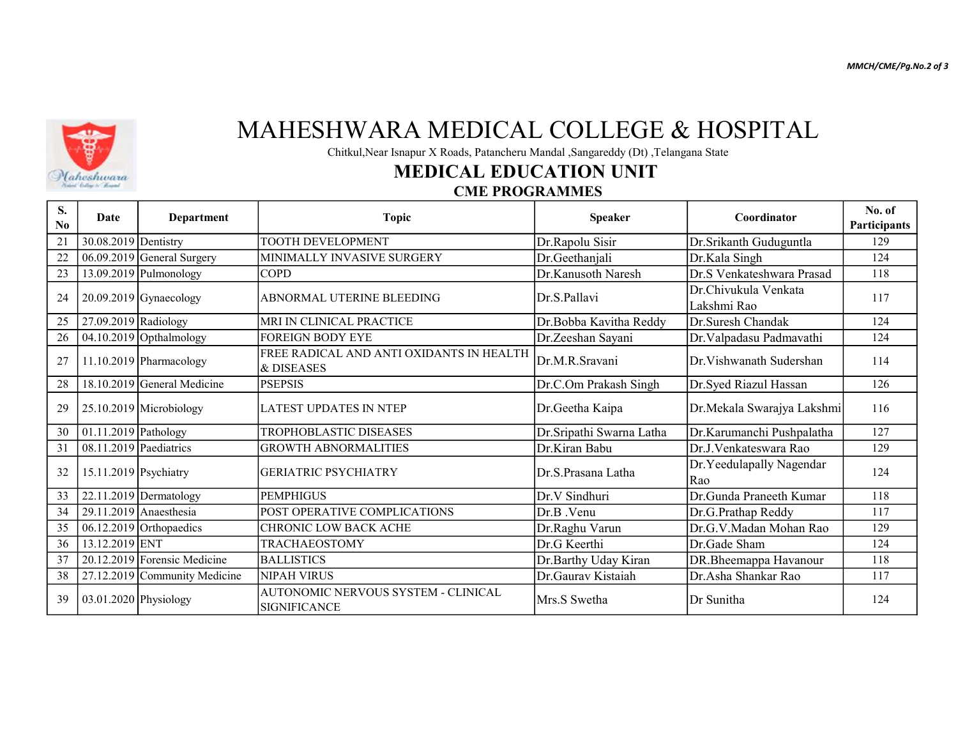MMCH/CME/Pg.No.2 of 3



## MAHESHWARA MEDICAL COLLEGE & HOSPITAL

Chitkul,Near Isnapur X Roads, Patancheru Mandal ,Sangareddy (Dt) ,Telangana State

### MEDICAL EDUCATION UNIT

#### CME PROGRAMMES

| S.<br>$\bf No$ | Date                     | <b>Department</b>             | <b>Topic</b>                                               | <b>Speaker</b>            | Coordinator                         | No. of<br>Participants |
|----------------|--------------------------|-------------------------------|------------------------------------------------------------|---------------------------|-------------------------------------|------------------------|
| 21             | 30.08.2019 Dentistry     |                               | <b>TOOTH DEVELOPMENT</b>                                   | Dr.Rapolu Sisir           | Dr.Srikanth Guduguntla              | 129                    |
| 22             |                          | $06.09.2019$ General Surgery  | MINIMALLY INVASIVE SURGERY                                 | Dr.Geethanjali            | Dr.Kala Singh                       | 124                    |
| 23             |                          | $13.09.2019$ Pulmonology      | <b>COPD</b>                                                | Dr.Kanusoth Naresh        | Dr.S Venkateshwara Prasad           | 118                    |
| 24             |                          | $20.09.2019$ Gynaecology      | ABNORMAL UTERINE BLEEDING                                  | Dr.S.Pallavi              | Dr.Chivukula Venkata<br>Lakshmi Rao | 117                    |
| 25             | 27.09.2019 Radiology     |                               | IMRI IN CLINICAL PRACTICE                                  | Dr.Bobba Kavitha Reddy    | Dr.Suresh Chandak                   | 124                    |
| 26             |                          | $04.10.2019$ Opthalmology     | <b>FOREIGN BODY EYE</b>                                    | Dr.Zeeshan Sayani         | Dr. Valpadasu Padmavathi            | 124                    |
| 27             |                          | $11.10.2019$ Pharmacology     | FREE RADICAL AND ANTI OXIDANTS IN HEALTH<br>l& DISEASES    | Dr.M.R.Sravani            | Dr. Vishwanath Sudershan            | 114                    |
| 28             |                          | 18.10.2019 General Medicine   | <b>PSEPSIS</b>                                             | Dr.C.Om Prakash Singh     | Dr.Syed Riazul Hassan               | 126                    |
| 29             |                          | 25.10.2019 Microbiology       | LATEST UPDATES IN NTEP                                     | Dr.Geetha Kaipa           | Dr.Mekala Swarajya Lakshmi          | 116                    |
| 30             | 01.11.2019 Pathology     |                               | <b>TROPHOBLASTIC DISEASES</b>                              | Dr. Sripathi Swarna Latha | Dr.Karumanchi Pushpalatha           | 127                    |
| 31             | $08.11.2019$ Paediatrics |                               | <b>GROWTH ABNORMALITIES</b>                                | Dr.Kiran Babu             | Dr.J.Venkateswara Rao               | 129                    |
| 32             | 15.11.2019 Psychiatry    |                               | GERIATRIC PSYCHIATRY                                       | Dr.S.Prasana Latha        | Dr. Yeedulapally Nagendar<br>Rao    | 124                    |
| 33             |                          | $22.11.2019$ Dermatology      | <b>PEMPHIGUS</b>                                           | Dr.V Sindhuri             | Dr.Gunda Praneeth Kumar             | 118                    |
| 34             |                          | $29.11.2019$ Anaesthesia      | POST OPERATIVE COMPLICATIONS                               | Dr.B. Venu                | Dr.G.Prathap Reddy                  | 117                    |
| 35             |                          | $06.12.2019$ Orthopaedics     | ICHRONIC LOW BACK ACHE                                     | Dr.Raghu Varun            | Dr.G.V.Madan Mohan Rao              | 129                    |
| 36             | 13.12.2019 ENT           |                               | <b>TRACHAEOSTOMY</b>                                       | Dr.G Keerthi              | Dr.Gade Sham                        | 124                    |
| 37             |                          | 20.12.2019 Forensic Medicine  | <b>BALLISTICS</b>                                          | Dr.Barthy Uday Kiran      | DR.Bheemappa Havanour               | 118                    |
| 38             |                          | 27.12.2019 Community Medicine | NIPAH VIRUS                                                | Dr.Gaurav Kistaiah        | Dr.Asha Shankar Rao                 | 117                    |
| 39             | 03.01.2020 Physiology    |                               | AUTONOMIC NERVOUS SYSTEM - CLINICAL<br><b>SIGNIFICANCE</b> | Mrs.S Swetha              | Dr Sunitha                          | 124                    |